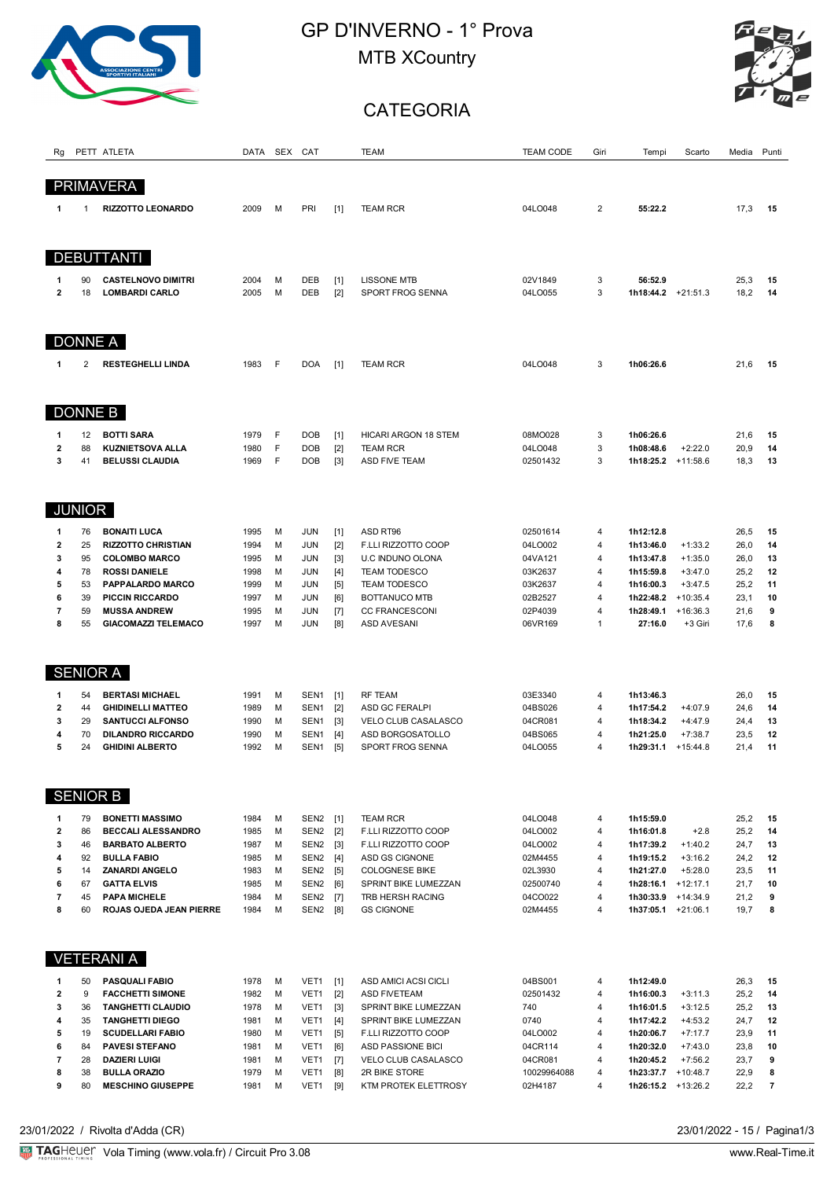

## GP D'INVERNO - 1° Prova MTB XCountry



## **CATEGORIA**

| Rg                      |                | PETT ATLETA                                | DATA         |        | SEX CAT                  |                | TEAM                                 | <b>TEAM CODE</b>   | Giri           | Tempi                  | Scarto                  | Media        | Punti                   |
|-------------------------|----------------|--------------------------------------------|--------------|--------|--------------------------|----------------|--------------------------------------|--------------------|----------------|------------------------|-------------------------|--------------|-------------------------|
|                         |                |                                            |              |        |                          |                |                                      |                    |                |                        |                         |              |                         |
|                         |                | <b>PRIMAVERA</b>                           |              |        |                          |                |                                      |                    |                |                        |                         |              |                         |
| 1                       | -1             | <b>RIZZOTTO LEONARDO</b>                   | 2009         | M      | PRI                      | [1]            | <b>TEAM RCR</b>                      | 04LO048            | $\overline{2}$ | 55:22.2                |                         | 17,3         | 15                      |
|                         |                |                                            |              |        |                          |                |                                      |                    |                |                        |                         |              |                         |
|                         |                |                                            |              |        |                          |                |                                      |                    |                |                        |                         |              |                         |
|                         |                | <b>DEBUTTANTI</b>                          |              |        |                          |                |                                      |                    |                |                        |                         |              |                         |
| 1                       | 90             | <b>CASTELNOVO DIMITRI</b>                  | 2004         | M      | DEB                      | $[1]$          | <b>LISSONE MTB</b>                   | 02V1849            | 3              | 56:52.9                |                         | 25,3         | 15                      |
| $\mathbf{2}$            | 18             | <b>LOMBARDI CARLO</b>                      | 2005         | M      | DEB                      | $[2]$          | SPORT FROG SENNA                     | 04LO055            | 3              | $1h18:44.2$ +21:51.3   |                         | 18,2         | 14                      |
|                         |                |                                            |              |        |                          |                |                                      |                    |                |                        |                         |              |                         |
|                         |                |                                            |              |        |                          |                |                                      |                    |                |                        |                         |              |                         |
|                         | <b>DONNE A</b> |                                            |              |        |                          |                |                                      |                    |                |                        |                         |              |                         |
| 1                       | 2              | <b>RESTEGHELLI LINDA</b>                   | 1983         | F      | <b>DOA</b>               | $[1]$          | <b>TEAM RCR</b>                      | 04LO048            | 3              | 1h06:26.6              |                         | 21,6         | 15                      |
|                         |                |                                            |              |        |                          |                |                                      |                    |                |                        |                         |              |                         |
|                         |                |                                            |              |        |                          |                |                                      |                    |                |                        |                         |              |                         |
|                         |                | DONNE B                                    |              |        |                          |                |                                      |                    |                |                        |                         |              |                         |
| 1                       | 12             | <b>BOTTI SARA</b>                          | 1979         | F      | <b>DOB</b>               | $[1]$          | <b>HICARI ARGON 18 STEM</b>          | 08MO028            | 3              | 1h06:26.6              |                         | 21,6         | 15                      |
| $\overline{\mathbf{c}}$ | 88             | <b>KUZNIETSOVA ALLA</b>                    | 1980         | F      | <b>DOB</b>               | $[2]$          | <b>TEAM RCR</b>                      | 04LO048            | 3              | 1h08:48.6              | $+2:22.0$               | 20,9         | 14                      |
| 3                       | 41             | <b>BELUSSI CLAUDIA</b>                     | 1969         | F      | <b>DOB</b>               | $[3]$          | <b>ASD FIVE TEAM</b>                 | 02501432           | 3              | $1h18:25.2$ +11:58.6   |                         | 18,3         | 13                      |
|                         |                |                                            |              |        |                          |                |                                      |                    |                |                        |                         |              |                         |
|                         |                |                                            |              |        |                          |                |                                      |                    |                |                        |                         |              |                         |
|                         | <b>JUNIOR</b>  |                                            |              |        |                          |                |                                      |                    |                |                        |                         |              |                         |
| 1                       | 76             | <b>BONAITI LUCA</b>                        | 1995         | M      | <b>JUN</b>               | $[1]$          | ASD RT96                             | 02501614           | 4              | 1h12:12.8              |                         | 26,5         | 15                      |
| $\overline{\mathbf{2}}$ | 25             | <b>RIZZOTTO CHRISTIAN</b>                  | 1994         | M      | <b>JUN</b>               | $[2]$          | F.LLI RIZZOTTO COOP                  | 04LO002            | 4              | 1h13:46.0              | $+1:33.2$               | 26,0         | 14                      |
| 3                       | 95             | <b>COLOMBO MARCO</b>                       | 1995         | M      | <b>JUN</b>               | $[3]$          | U.C INDUNO OLONA                     | 04VA121            | 4              | 1h13:47.8              | $+1:35.0$               | 26,0         | 13                      |
| 4                       | 78             | <b>ROSSI DANIELE</b>                       | 1998         | M      | <b>JUN</b>               | $[4]$          | <b>TEAM TODESCO</b>                  | 03K2637            | 4              | 1h15:59.8              | $+3:47.0$               | 25,2         | 12                      |
| 5<br>6                  | 53<br>39       | PAPPALARDO MARCO<br><b>PICCIN RICCARDO</b> | 1999<br>1997 | M<br>М | <b>JUN</b><br><b>JUN</b> | $[5]$<br>[6]   | <b>TEAM TODESCO</b><br>BOTTANUCO MTB | 03K2637<br>02B2527 | 4<br>4         | 1h16:00.3<br>1h22:48.2 | $+3:47.5$<br>$+10:35.4$ | 25,2<br>23,1 | 11<br>10                |
| 7                       | 59             | <b>MUSSA ANDREW</b>                        | 1995         | M      | JUN                      | $[7]$          | <b>CC FRANCESCONI</b>                | 02P4039            | 4              | 1h28:49.1              | $+16:36.3$              | 21,6         | 9                       |
| 8                       | 55             | <b>GIACOMAZZI TELEMACO</b>                 | 1997         | M      | JUN                      | [8]            | <b>ASD AVESANI</b>                   | 06VR169            | $\mathbf{1}$   | 27:16.0                | +3 Giri                 | 17,6         | 8                       |
|                         |                |                                            |              |        |                          |                |                                      |                    |                |                        |                         |              |                         |
|                         |                |                                            |              |        |                          |                |                                      |                    |                |                        |                         |              |                         |
|                         |                | <b>SENIOR A</b>                            |              |        |                          |                |                                      |                    |                |                        |                         |              |                         |
| 1                       | 54             | <b>BERTASI MICHAEL</b>                     | 1991         | М      | SEN <sub>1</sub>         | $[1]$          | <b>RF TEAM</b>                       | 03E3340            | 4              | 1h13:46.3              |                         | 26,0         | 15                      |
| $\mathbf{2}$            | 44             | <b>GHIDINELLI MATTEO</b>                   | 1989         | M      | SEN <sub>1</sub>         | $[2]$          | <b>ASD GC FERALPI</b>                | 04BS026            | $\overline{4}$ | 1h17:54.2              | $+4:07.9$               | 24,6         | 14                      |
| 3                       | 29             | <b>SANTUCCI ALFONSO</b>                    | 1990         | M      | SEN <sub>1</sub>         | $[3]$          | VELO CLUB CASALASCO                  | 04CR081            | 4              | 1h18:34.2              | $+4:47.9$               | 24,4         | 13                      |
| 4                       | 70             | <b>DILANDRO RICCARDO</b>                   | 1990         | M      | SEN <sub>1</sub>         | $[4]$          | ASD BORGOSATOLLO                     | 04BS065            | 4              | 1h21:25.0              | $+7:38.7$               | 23,5         | 12                      |
| 5                       | 24             | <b>GHIDINI ALBERTO</b>                     | 1992         | M      | SEN <sub>1</sub>         | $[5]$          | SPORT FROG SENNA                     | 04LO055            | 4              | 1h29:31.1              | $+15:44.8$              | 21,4         | 11                      |
|                         |                |                                            |              |        |                          |                |                                      |                    |                |                        |                         |              |                         |
|                         |                | <b>SENIOR B</b>                            |              |        |                          |                |                                      |                    |                |                        |                         |              |                         |
| 1                       | 79             | <b>BONETTI MASSIMO</b>                     | 1984         | м      | SEN <sub>2</sub>         | [1]            | <b>TEAM RCR</b>                      | 04LO048            | 4              | 1h15:59.0              |                         | 25,2         | 15                      |
| $\overline{\mathbf{2}}$ | 86             | <b>BECCALI ALESSANDRO</b>                  | 1985         | M      | SEN <sub>2</sub>         | $[2]$          | F.LLI RIZZOTTO COOP                  | 04LO002            | 4              | 1h16:01.8              | $+2.8$                  | 25,2         | 14                      |
| 3                       | 46             | <b>BARBATO ALBERTO</b>                     | 1987         | м      | SEN <sub>2</sub>         | $[3]$          | F.LLI RIZZOTTO COOP                  | 04LO002            | 4              | 1h17:39.2              | $+1:40.2$               | 24,7         | 13                      |
| 4                       | 92             | <b>BULLA FABIO</b>                         | 1985         | M      | SEN <sub>2</sub>         | [4]            | ASD GS CIGNONE                       | 02M4455            | 4              | 1h19:15.2              | $+3:16.2$               | 24,2         | 12                      |
| 5                       | 14             | <b>ZANARDI ANGELO</b>                      | 1983         | M      | SEN <sub>2</sub>         | [5]            | <b>COLOGNESE BIKE</b>                | 02L3930            | $\overline{4}$ | 1h21:27.0              | $+5:28.0$               | 23,5         | 11                      |
| 6                       | 67             | <b>GATTA ELVIS</b>                         | 1985         | м      | SEN <sub>2</sub>         | [6]            | SPRINT BIKE LUMEZZAN                 | 02500740           | 4              | 1h28:16.1              | $+12:17.1$              | 21,7         | 10                      |
| 7                       | 45             | <b>PAPA MICHELE</b>                        | 1984         | M      | SEN <sub>2</sub>         | $[7]$          | TRB HERSH RACING                     | 04CO022            | 4              | 1h30:33.9              | $+14:34.9$              | 21,2         | 9                       |
| 8                       | 60             | ROJAS OJEDA JEAN PIERRE                    | 1984         | M      | SEN <sub>2</sub>         | [8]            | <b>GS CIGNONE</b>                    | 02M4455            | 4              | 1h37:05.1 +21:06.1     |                         | 19,7         | 8                       |
|                         |                |                                            |              |        |                          |                |                                      |                    |                |                        |                         |              |                         |
|                         |                | <b>VETERANI A</b>                          |              |        |                          |                |                                      |                    |                |                        |                         |              |                         |
|                         | 50             | <b>PASQUALI FABIO</b>                      | 1978         | M      | VET <sub>1</sub>         |                | ASD AMICI ACSI CICLI                 | 04BS001            | 4              | 1h12:49.0              |                         |              | 15                      |
| 1<br>2                  | 9              | <b>FACCHETTI SIMONE</b>                    | 1982         | м      | VET1                     | $[1]$<br>$[2]$ | <b>ASD FIVETEAM</b>                  | 02501432           | 4              | 1h16:00.3              | $+3:11.3$               | 26,3<br>25,2 | 14                      |
| 3                       | 36             | <b>TANGHETTI CLAUDIO</b>                   | 1978         | м      | VET1                     | $[3]$          | SPRINT BIKE LUMEZZAN                 | 740                | 4              | 1h16:01.5              | $+3:12.5$               | 25,2         | 13                      |
| 4                       | 35             | <b>TANGHETTI DIEGO</b>                     | 1981         | м      | VET1                     | $[4]$          | SPRINT BIKE LUMEZZAN                 | 0740               | $\overline{4}$ | 1h17:42.2              | $+4:53.2$               | 24,7         | 12                      |
| 5                       | 19             | <b>SCUDELLARI FABIO</b>                    | 1980         | M      | VET1                     | $[5]$          | F.LLI RIZZOTTO COOP                  | 04LO002            | 4              | 1h20:06.7              | $+7:17.7$               | 23,9         | 11                      |
| 6                       | 84             | <b>PAVESI STEFANO</b>                      | 1981         | М      | VET1                     | [6]            | <b>ASD PASSIONE BICI</b>             | 04CR114            | $\overline{4}$ | 1h20:32.0              | $+7:43.0$               | 23,8         | 10                      |
| 7                       | 28             | <b>DAZIERI LUIGI</b>                       | 1981         | м      | VET1                     | $[7]$          | VELO CLUB CASALASCO                  | 04CR081            | 4              | 1h20:45.2              | $+7:56.2$               | 23,7         | 9                       |
| 8                       | 38             | <b>BULLA ORAZIO</b>                        | 1979         | M      | VET1                     | [8]            | 2R BIKE STORE                        | 10029964088        | 4              | 1h23:37.7              | $+10:48.7$              | 22,9         | 8                       |
| 9                       | 80             | <b>MESCHINO GIUSEPPE</b>                   | 1981         | М      | VET1                     | [9]            | KTM PROTEK ELETTROSY                 | 02H4187            | 4              | $1h26:15.2$ +13:26.2   |                         | 22,2         | $\overline{\mathbf{r}}$ |

23/01/2022 / Rivolta d'Adda (CR)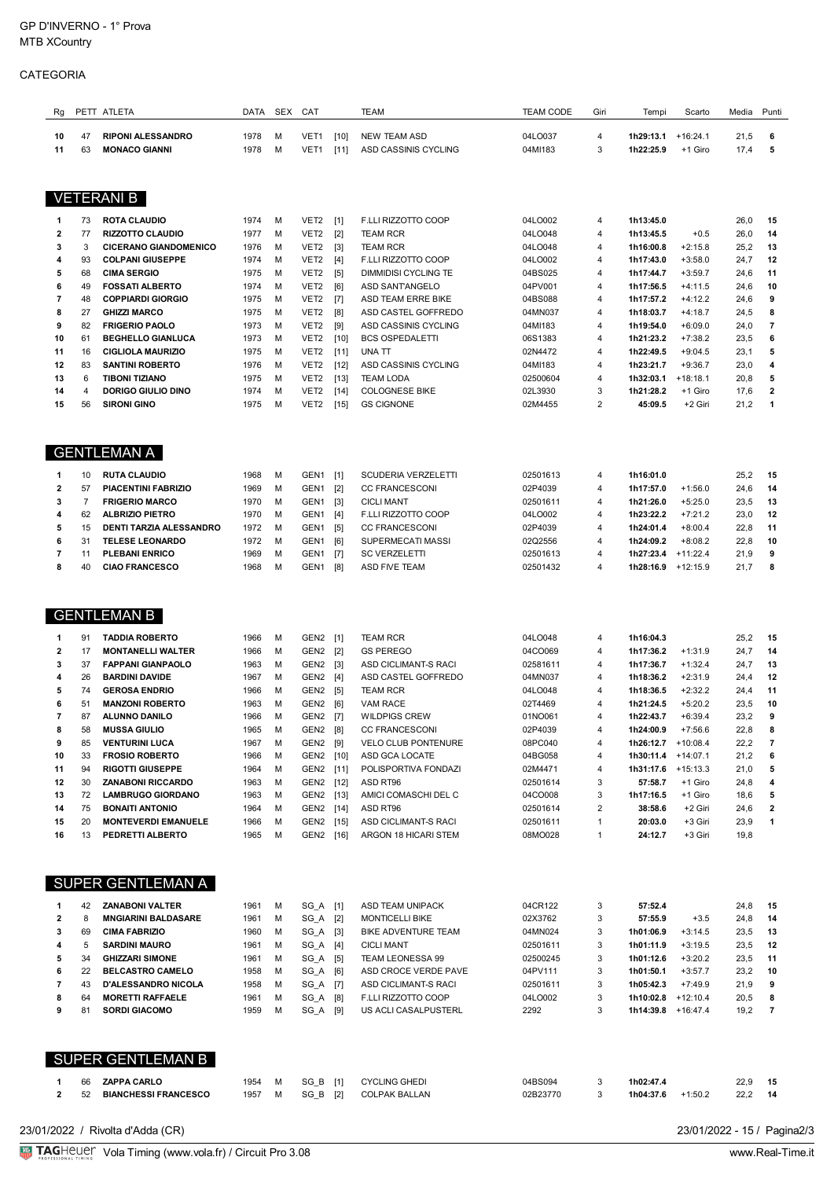## CATEGORIA

| Rg                      |                      | PETT ATLETA                                         | DATA         | SEX    | CAT                                  |                  | <b>TEAM</b>                                  | <b>TEAM CODE</b>     | Giri                             | Tempi                  | Scarto                  | Media        | Punti          |
|-------------------------|----------------------|-----------------------------------------------------|--------------|--------|--------------------------------------|------------------|----------------------------------------------|----------------------|----------------------------------|------------------------|-------------------------|--------------|----------------|
| 10                      | 47                   | <b>RIPONI ALESSANDRO</b>                            | 1978         | M      | VET1                                 | $[10]$           | <b>NEW TEAM ASD</b>                          | 04LO037              | 4                                | 1h29:13.1              | $+16:24.1$              | 21,5         | 6              |
| 11                      | 63                   | <b>MONACO GIANNI</b>                                | 1978         | M      | VET1                                 | [11]             | ASD CASSINIS CYCLING                         | 04MI183              | 3                                | 1h22:25.9              | +1 Giro                 | 17,4         | 5              |
|                         |                      |                                                     |              |        |                                      |                  |                                              |                      |                                  |                        |                         |              |                |
| <b>VETERANI B</b>       |                      |                                                     |              |        |                                      |                  |                                              |                      |                                  |                        |                         |              |                |
|                         |                      |                                                     |              |        |                                      |                  |                                              |                      |                                  |                        |                         |              |                |
| 1<br>2                  | 73<br>77             | <b>ROTA CLAUDIO</b><br><b>RIZZOTTO CLAUDIO</b>      | 1974<br>1977 | M<br>M | VET2<br>VET <sub>2</sub>             | $[1]$<br>$[2]$   | F.LLI RIZZOTTO COOP<br><b>TEAM RCR</b>       | 04LO002<br>04LO048   | 4<br>4                           | 1h13:45.0<br>1h13:45.5 | $+0.5$                  | 26,0<br>26,0 | 15<br>14       |
| 3                       | 3                    | <b>CICERANO GIANDOMENICO</b>                        | 1976         | M      | VET <sub>2</sub>                     | $[3]$            | <b>TEAM RCR</b>                              | 04LO048              | $\overline{4}$                   | 1h16:00.8              | $+2:15.8$               | 25,2         | 13             |
| 4                       | 93                   | <b>COLPANI GIUSEPPE</b>                             | 1974         | М      | VET <sub>2</sub>                     | $[4]$            | F.LLI RIZZOTTO COOP                          | 04LO002              | $\overline{4}$                   | 1h17:43.0              | $+3:58.0$               | 24,7         | 12             |
| 5                       | 68                   | <b>CIMA SERGIO</b>                                  | 1975         | M      | VET2                                 | $[5]$            | DIMMIDISI CYCLING TE                         | 04BS025              | $\overline{4}$                   | 1h17:44.7              | $+3:59.7$               | 24,6         | 11             |
| 6                       | 49                   | <b>FOSSATI ALBERTO</b>                              | 1974         | M      | VET2                                 | [6]              | ASD SANTANGELO                               | 04PV001              | $\overline{4}$                   | 1h17:56.5              | $+4:11.5$               | 24,6         | 10             |
| 7<br>8                  | 48<br>27             | <b>COPPIARDI GIORGIO</b><br><b>GHIZZI MARCO</b>     | 1975<br>1975 | M<br>М | VET2<br>VET <sub>2</sub>             | $[7]$<br>[8]     | ASD TEAM ERRE BIKE<br>ASD CASTEL GOFFREDO    | 04BS088<br>04MN037   | $\overline{4}$<br>$\overline{4}$ | 1h17:57.2<br>1h18:03.7 | $+4:12.2$<br>$+4:18.7$  | 24,6<br>24,5 | 9<br>8         |
| 9                       | 82                   | <b>FRIGERIO PAOLO</b>                               | 1973         | M      | VET2                                 | [9]              | ASD CASSINIS CYCLING                         | 04MI183              | $\overline{4}$                   | 1h19:54.0              | $+6:09.0$               | 24,0         | $\overline{7}$ |
| 10                      | 61                   | <b>BEGHELLO GIANLUCA</b>                            | 1973         | M      | VET2                                 | $[10]$           | <b>BCS OSPEDALETTI</b>                       | 06S1383              | $\overline{4}$                   | 1h21:23.2              | $+7:38.2$               | 23,5         | 6              |
| 11                      | 16                   | <b>CIGLIOLA MAURIZIO</b>                            | 1975         | M      | VET <sub>2</sub>                     | [11]             | UNA TT                                       | 02N4472              | $\overline{4}$                   | 1h22:49.5              | $+9:04.5$               | 23,1         | 5              |
| 12<br>13                | 83<br>6              | <b>SANTINI ROBERTO</b><br><b>TIBONI TIZIANO</b>     | 1976<br>1975 | M<br>M | VET <sub>2</sub>                     | $[12]$           | ASD CASSINIS CYCLING<br><b>TEAM LODA</b>     | 04MI183              | $\overline{4}$<br>$\overline{4}$ | 1h23:21.7<br>1h32:03.1 | $+9:36.7$<br>$+18:18.1$ | 23,0         | 4<br>5         |
| 14                      | 4                    | DORIGO GIULIO DINO                                  | 1974         | M      | VET2<br>VET2                         | $[13]$<br>$[14]$ | <b>COLOGNESE BIKE</b>                        | 02500604<br>02L3930  | 3                                | 1h21:28.2              | +1 Giro                 | 20,8<br>17,6 | 2              |
| 15                      | 56                   | <b>SIRONI GINO</b>                                  | 1975         | M      | VET2                                 | $[15]$           | <b>GS CIGNONE</b>                            | 02M4455              | $\overline{2}$                   | 45:09.5                | +2 Giri                 | 21,2         | 1              |
|                         |                      |                                                     |              |        |                                      |                  |                                              |                      |                                  |                        |                         |              |                |
|                         |                      |                                                     |              |        |                                      |                  |                                              |                      |                                  |                        |                         |              |                |
|                         |                      | <b>GENTLEMAN A</b>                                  |              |        |                                      |                  |                                              |                      |                                  |                        |                         |              |                |
| 1                       | 10                   | <b>RUTA CLAUDIO</b>                                 | 1968         | M      | GEN <sub>1</sub>                     | [1]              | <b>SCUDERIA VERZELETTI</b>                   | 02501613             | 4                                | 1h16:01.0              |                         | 25,2         | 15             |
| 2                       | 57                   | <b>PIACENTINI FABRIZIO</b>                          | 1969         | M      | GEN <sub>1</sub>                     | [2]              | <b>CC FRANCESCONI</b>                        | 02P4039              | $\overline{4}$                   | 1h17:57.0              | $+1:56.0$               | 24,6         | 14             |
| 3<br>4                  | $\overline{7}$<br>62 | <b>FRIGERIO MARCO</b><br><b>ALBRIZIO PIETRO</b>     | 1970<br>1970 | M<br>M | GEN <sub>1</sub><br>GEN <sub>1</sub> | $[3]$<br>[4]     | <b>CICLI MANT</b><br>F.LLI RIZZOTTO COOP     | 02501611<br>04LO002  | $\overline{4}$<br>$\overline{4}$ | 1h21:26.0<br>1h23:22.2 | $+5:25.0$<br>$+7:21.2$  | 23,5<br>23,0 | 13<br>12       |
| 5                       | 15                   | DENTI TARZIA ALESSANDRO                             | 1972         | M      | GEN <sub>1</sub>                     | $[5]$            | <b>CC FRANCESCONI</b>                        | 02P4039              | $\overline{4}$                   | 1h24:01.4              | $+8:00.4$               | 22,8         | 11             |
| 6                       | 31                   | <b>TELESE LEONARDO</b>                              | 1972         | M      | GEN <sub>1</sub>                     | [6]              | SUPERMECATI MASSI                            | 02Q2556              | $\overline{4}$                   | 1h24:09.2              | $+8:08.2$               | 22,8         | 10             |
| 7                       | 11                   | <b>PLEBANI ENRICO</b>                               | 1969         | M      | GEN <sub>1</sub>                     |                  | <b>SC VERZELETTI</b>                         | 02501613             | 4                                | 1h27:23.4              | $+11:22.4$              | 21,9         | 9              |
| 8                       | 40                   | <b>CIAO FRANCESCO</b>                               | 1968         | M      | GEN <sub>1</sub>                     | [8]              | <b>ASD FIVE TEAM</b>                         | 02501432             | $\overline{4}$                   | 1h28:16.9              | $+12:15.9$              | 21,7         | 8              |
|                         |                      |                                                     |              |        |                                      |                  |                                              |                      |                                  |                        |                         |              |                |
|                         |                      | <b>GENTLEMAN B</b>                                  |              |        |                                      |                  |                                              |                      |                                  |                        |                         |              |                |
| 1                       | 91                   | <b>TADDIA ROBERTO</b>                               | 1966         | M      | GEN2                                 | $[1]$            | TEAM RCR                                     | 04LO048              | 4                                | 1h16:04.3              |                         | 25,2         | 15             |
| 2                       | 17                   | <b>MONTANELLI WALTER</b>                            | 1966         | M      | GEN <sub>2</sub>                     | $[2]$            | <b>GS PEREGO</b>                             | 04CO069              | 4                                | 1h17:36.2              | $+1:31.9$               | 24,7         | 14             |
| 3                       | 37                   | <b>FAPPANI GIANPAOLO</b>                            | 1963         | M      | GEN2                                 | $[3]$            | ASD CICLIMANT-S RACI                         | 02581611             | $\overline{4}$                   | 1h17:36.7              | $+1:32.4$               | 24,7         | 13             |
| 4                       | 26                   | <b>BARDINI DAVIDE</b>                               | 1967         | M      | GEN <sub>2</sub>                     | $[4]$            | ASD CASTEL GOFFREDO                          | 04MN037              | $\overline{4}$                   | 1h18:36.2              | $+2:31.9$               | 24,4         | 12             |
| 5<br>6                  | 74<br>51             | <b>GEROSA ENDRIO</b><br><b>MANZONI ROBERTO</b>      | 1966<br>1963 | M<br>M | GEN <sub>2</sub><br>GEN <sub>2</sub> | [5]<br>[6]       | <b>TEAM RCR</b><br><b>VAM RACE</b>           | 04LO048<br>02T4469   | 4<br>4                           | 1h18:36.5<br>1h21:24.5 | $+2:32.2$<br>$+5:20.2$  | 24,4<br>23,5 | 11<br>10       |
| 7                       | 87                   | <b>ALUNNO DANILO</b>                                | 1966         | M      | GEN2 [7]                             |                  | <b>WILDPIGS CREW</b>                         | 01NO061              | 4                                | 1h22:43.7              | $+6:39.4$               | 23,2         | 9              |
| 8                       | 58                   | <b>MUSSA GIULIO</b>                                 | 1965         | M      | GEN2 [8]                             |                  | <b>CC FRANCESCONI</b>                        | 02P4039              | 4                                | 1h24:00.9              | $+7:56.6$               | 22,8         |                |
| 9                       | 85                   | <b>VENTURINI LUCA</b>                               | 1967         | M      | GEN2                                 | [9]              | <b>VELO CLUB PONTENURE</b>                   | 08PC040              | 4                                | $1h26:12.7$ +10:08.4   |                         | 22,2         | 7              |
| 10                      | 33<br>94             | <b>FROSIO ROBERTO</b>                               | 1966         | M      | GEN2 [10]                            |                  | ASD GCA LOCATE<br>POLISPORTIVA FONDAZI       | 04BG058              | 4<br>4                           | 1h30:11.4              | +14:07.1                | 21,2         | 6<br>5         |
| 11<br>12                | 30                   | <b>RIGOTTI GIUSEPPE</b><br><b>ZANABONI RICCARDO</b> | 1964<br>1963 | M<br>М | GEN2 [11]<br>GEN2 [12]               |                  | ASD RT96                                     | 02M4471<br>02501614  | 3                                | 1h31:17.6<br>57:58.7   | $+15:13.3$<br>+1 Giro   | 21,0<br>24,8 | 4              |
| 13                      | 72                   | <b>LAMBRUGO GIORDANO</b>                            | 1963         | М      | GEN2 [13]                            |                  | AMICI COMASCHI DEL C                         | 04CO008              | 3                                | 1h17:16.5              | +1 Giro                 | 18,6         | 5              |
| 14                      | 75                   | <b>BONAITI ANTONIO</b>                              | 1964         | М      | GEN2 [14]                            |                  | ASD RT96                                     | 02501614             | 2                                | 38:58.6                | +2 Giri                 | 24,6         | 2              |
| 15                      | 20                   | <b>MONTEVERDI EMANUELE</b>                          | 1966         | M      | GEN2 [15]                            |                  | ASD CICLIMANT-S RACI                         | 02501611             | $\mathbf{1}$                     | 20:03.0                | +3 Giri                 | 23,9         | 1              |
| 16                      | 13                   | PEDRETTI ALBERTO                                    | 1965         | M      | GEN2 [16]                            |                  | ARGON 18 HICARI STEM                         | 08MO028              | $\mathbf{1}$                     | 24:12.7                | +3 Giri                 | 19,8         |                |
|                         |                      |                                                     |              |        |                                      |                  |                                              |                      |                                  |                        |                         |              |                |
|                         |                      | SUPER GENTLEMAN A                                   |              |        |                                      |                  |                                              |                      |                                  |                        |                         |              |                |
| 1                       | 42                   | ZANABONI VALTER                                     | 1961         | M      | SG_A [1]                             |                  | ASD TEAM UNIPACK                             | 04CR122              | 3                                | 57:52.4                |                         | 24,8         | 15             |
| $\mathbf{2}$            | 8                    | <b>MNGIARINI BALDASARE</b>                          | 1961         | M      | SG_A [2]                             |                  | <b>MONTICELLI BIKE</b>                       | 02X3762              | 3                                | 57:55.9                | $+3.5$                  | 24,8         | 14             |
| 3                       | 69                   | <b>CIMA FABRIZIO</b>                                | 1960         | М      | SG_A [3]                             |                  | BIKE ADVENTURE TEAM                          | 04MN024              | 3                                | 1h01:06.9              | $+3:14.5$               | 23,5         | 13             |
| 4<br>5                  | 5<br>34              | <b>SARDINI MAURO</b><br><b>GHIZZARI SIMONE</b>      | 1961<br>1961 | M<br>M | SG_A [4]<br>SG_A [5]                 |                  | <b>CICLI MANT</b><br><b>TEAM LEONESSA 99</b> | 02501611<br>02500245 | 3<br>3                           | 1h01:11.9<br>1h01:12.6 | $+3:19.5$<br>$+3:20.2$  | 23,5<br>23,5 | 12<br>11       |
| 6                       | 22                   | <b>BELCASTRO CAMELO</b>                             | 1958         | М      | SG_A [6]                             |                  | ASD CROCE VERDE PAVE                         | 04PV111              | 3                                | 1h01:50.1              | $+3:57.7$               | 23,2         | 10             |
| $\overline{\mathbf{r}}$ | 43                   | <b>D'ALESSANDRO NICOLA</b>                          | 1958         | M      | SG_A [7]                             |                  | ASD CICLIMANT-S RACI                         | 02501611             | 3                                | 1h05:42.3              | $+7:49.9$               | 21,9         | 9              |
| 8                       | 64                   | <b>MORETTI RAFFAELE</b>                             | 1961         | М      | SG_A [8]                             |                  | F.LLI RIZZOTTO COOP                          | 04LO002              | 3                                | 1h10:02.8              | $+12:10.4$              | 20,5         | 8              |
| 9                       | 81                   | <b>SORDI GIACOMO</b>                                | 1959         | M      | SG_A [9]                             |                  | US ACLI CASALPUSTERL                         | 2292                 | 3                                | $1h14:39.8$ +16:47.4   |                         | 19,2         | 7              |
|                         |                      |                                                     |              |        |                                      |                  |                                              |                      |                                  |                        |                         |              |                |
|                         |                      | SUPER GENTLEMAN B                                   |              |        |                                      |                  |                                              |                      |                                  |                        |                         |              |                |
| 1                       | 66                   | <b>ZAPPA CARLO</b>                                  | 1954         | м      | SG_B [1]                             |                  | <b>CYCLING GHEDI</b>                         | 04BS094              | 3                                | 1h02:47.4              |                         | 22,9         | 15             |
| 2                       | 52                   | <b>BIANCHESSI FRANCESCO</b>                         | 1957         | M      | SG_B [2]                             |                  | <b>COLPAK BALLAN</b>                         | 02B23770             | 3                                | 1h04:37.6              | $+1:50.2$               | 22,2         | 14             |
|                         |                      |                                                     |              |        |                                      |                  |                                              |                      |                                  |                        |                         |              |                |

23/01/2022 / Rivolta d'Adda (CR)